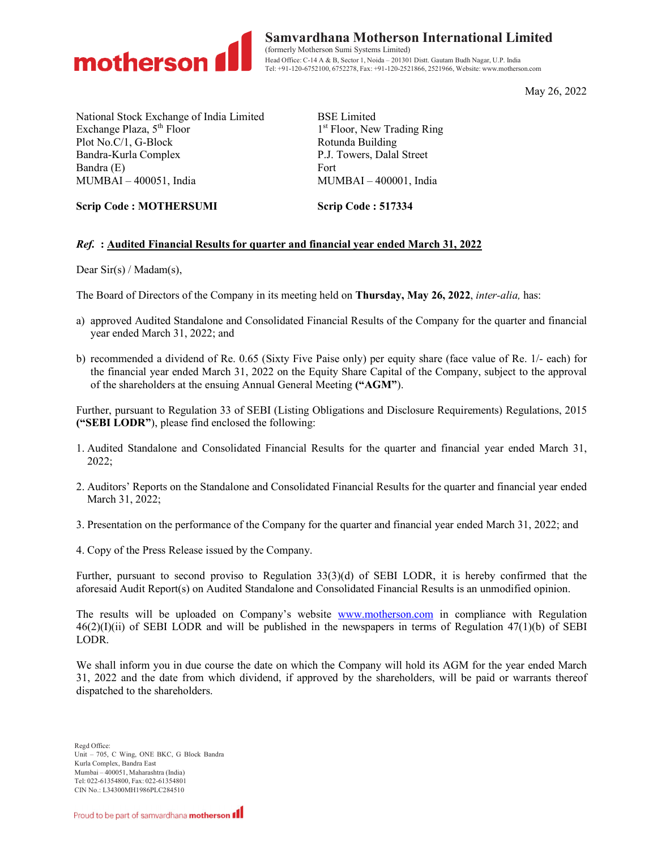

Samvardhana Motherson International Limited (formerly Motherson Sumi Systems Limited) Head Office: C-14 A & B, Sector 1, Noida – 201301 Distt. Gautam Budh Nagar, U.P. India Tel: +91-120-6752100, 6752278, Fax: +91-120-2521866, 2521966, Website: www.motherson.com

May 26, 2022

National Stock Exchange of India Limited Exchange Plaza, 5<sup>th</sup> Floor Plot No.C/1, G-Block Bandra-Kurla Complex Bandra (E) MUMBAI – 400051, India

BSE Limited 1 st Floor, New Trading Ring Rotunda Building P.J. Towers, Dalal Street Fort MUMBAI – 400001, India

Scrip Code : MOTHERSUMI Scrip Code : 517334

# Ref. : Audited Financial Results for quarter and financial year ended March 31, 2022

Dear Sir(s) / Madam(s),

The Board of Directors of the Company in its meeting held on Thursday, May 26, 2022, *inter-alia*, has:

- a) approved Audited Standalone and Consolidated Financial Results of the Company for the quarter and financial year ended March 31, 2022; and
- b) recommended a dividend of Re. 0.65 (Sixty Five Paise only) per equity share (face value of Re. 1/- each) for the financial year ended March 31, 2022 on the Equity Share Capital of the Company, subject to the approval of the shareholders at the ensuing Annual General Meeting ("AGM").

Further, pursuant to Regulation 33 of SEBI (Listing Obligations and Disclosure Requirements) Regulations, 2015 ("SEBI LODR"), please find enclosed the following:

- 1. Audited Standalone and Consolidated Financial Results for the quarter and financial year ended March 31, 2022;
- 2. Auditors' Reports on the Standalone and Consolidated Financial Results for the quarter and financial year ended March 31, 2022;
- 3. Presentation on the performance of the Company for the quarter and financial year ended March 31, 2022; and
- 4. Copy of the Press Release issued by the Company.

Further, pursuant to second proviso to Regulation 33(3)(d) of SEBI LODR, it is hereby confirmed that the aforesaid Audit Report(s) on Audited Standalone and Consolidated Financial Results is an unmodified opinion.

The results will be uploaded on Company's website www.motherson.com in compliance with Regulation  $46(2)(I)(ii)$  of SEBI LODR and will be published in the newspapers in terms of Regulation  $47(1)(b)$  of SEBI LODR.

We shall inform you in due course the date on which the Company will hold its AGM for the year ended March 31, 2022 and the date from which dividend, if approved by the shareholders, will be paid or warrants thereof dispatched to the shareholders.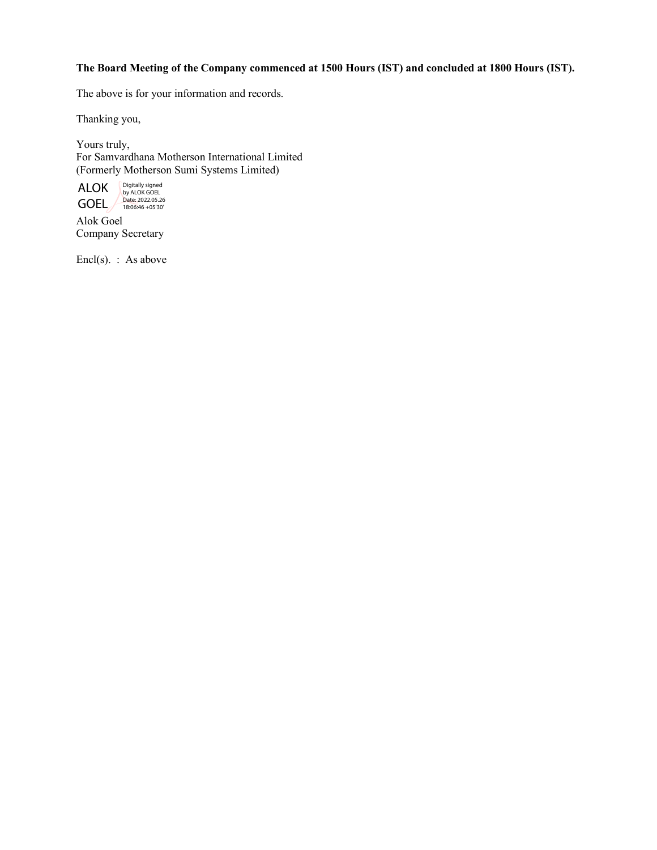# The Board Meeting of the Company commenced at 1500 Hours (IST) and concluded at 1800 Hours (IST).

The above is for your information and records.

Thanking you,

Yours truly, For Samvardhana Motherson International Limited (Formerly Motherson Sumi Systems Limited)



Alok Goel Company Secretary

Encl(s). : As above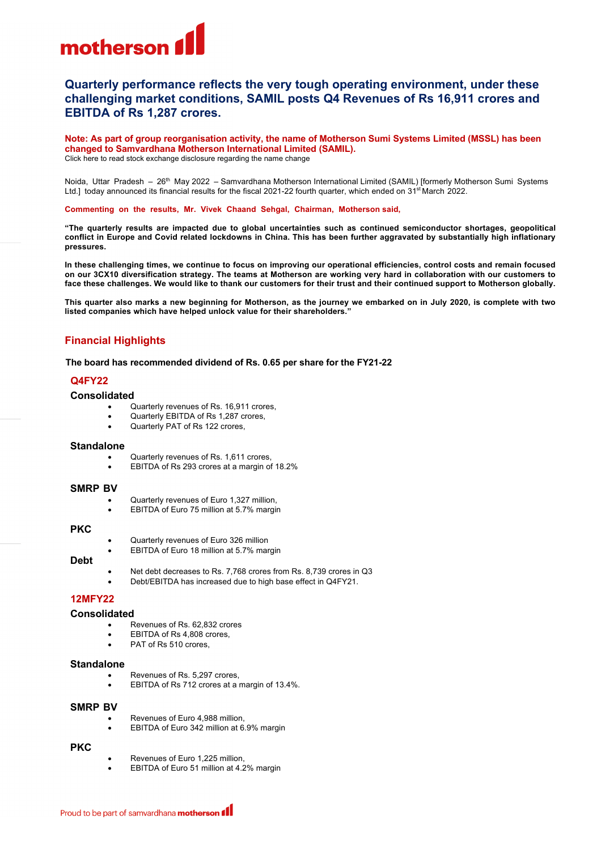

# **Quarterly performance reflects the very tough operating environment, under these challenging market conditions, SAMIL posts Q4 Revenues of Rs 16,911 crores and EBITDA of Rs 1,287 crores.**

**Note: As part of group reorganisation activity, the name of Motherson Sumi Systems Limited (MSSL) has been changed to Samvardhana Motherson International Limited (SAMIL).** Click here to read [stock exchange disclosure regarding the name change](https://www.motherson.com/storage/Corporate%20Announcements/FY2022-23/Stock_Exchange_Disclosure_Name_Change_19MAY22.pdf)

Noida, Uttar Pradesh - 26<sup>th</sup> May 2022 - Samvardhana Motherson International Limited (SAMIL) [formerly Motherson Sumi Systems Ltd.] today announced its financial results for the fiscal 2021-22 fourth quarter, which ended on 31<sup>st</sup> March 2022.

**Commenting on the results, Mr. Vivek Chaand Sehgal, Chairman, Motherson said,**

**"The quarterly results are impacted due to global uncertainties such as continued semiconductor shortages, geopolitical conflict in Europe and Covid related lockdowns in China. This has been further aggravated by substantially high inflationary pressures.**

**In these challenging times, we continue to focus on improving our operational efficiencies, control costs and remain focused on our 3CX10 diversification strategy. The teams at Motherson are working very hard in collaboration with our customers to face these challenges. We would like to thank our customers for their trust and their continued support to Motherson globally.**

**This quarter also marks a new beginning for Motherson, as the journey we embarked on in July 2020, is complete with two listed companies which have helped unlock value for their shareholders."**

# **Financial Highlights**

**The board has recommended dividend of Rs. 0.65 per share for the FY21-22**

### **Q4FY22**

## **Consolidated**

- Quarterly revenues of Rs. 16,911 crores,
- Quarterly EBITDA of Rs 1,287 crores,
- Quarterly PAT of Rs 122 crores,

#### **Standalone**

- Quarterly revenues of Rs. 1,611 crores,
- EBITDA of Rs 293 crores at a margin of 18.2%

#### **SMRP BV**

- Quarterly revenues of Euro 1,327 million,
- EBITDA of Euro 75 million at 5.7% margin

#### **PKC**

- Quarterly revenues of Euro 326 million
- EBITDA of Euro 18 million at 5.7% margin
- **Debt**
- Net debt decreases to Rs. 7,768 crores from Rs. 8,739 crores in Q3
- Debt/EBITDA has increased due to high base effect in Q4FY21.

## **12MFY22**

#### **Consolidated**

- Revenues of Rs. 62,832 crores
- EBITDA of Rs 4,808 crores,
- PAT of Rs 510 crores,

# **Standalone**

- Revenues of Rs. 5,297 crores,
- EBITDA of Rs 712 crores at a margin of 13.4%.

#### **SMRP BV**

- Revenues of Euro 4,988 million,
- EBITDA of Euro 342 million at 6.9% margin

# **PKC**

- Revenues of Euro 1,225 million,
- EBITDA of Euro 51 million at 4.2% margin